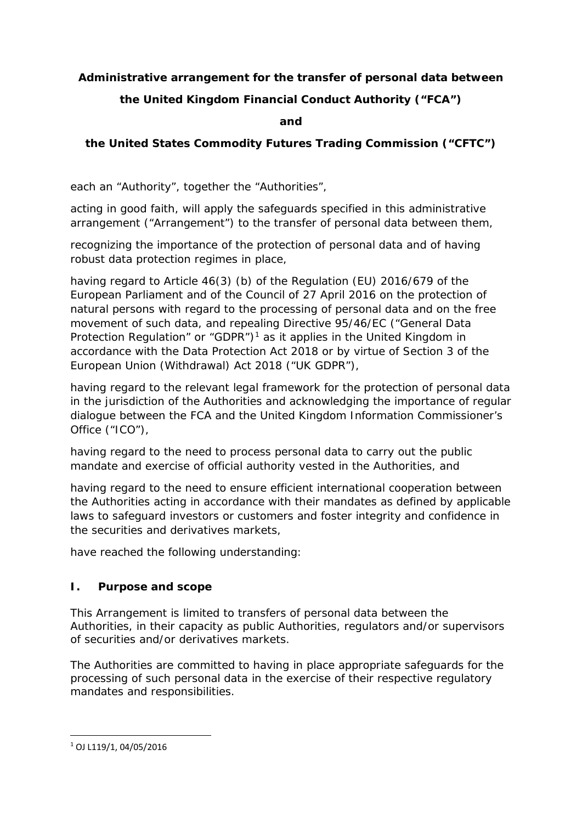# **Administrative arrangement for the transfer of personal data between**

# **the United Kingdom Financial Conduct Authority ("FCA")**

**and**

# **the United States Commodity Futures Trading Commission ("CFTC")**

each an "Authority", together the "Authorities",

acting in good faith, will apply the safeguards specified in this administrative arrangement ("Arrangement") to the transfer of personal data between them,

recognizing the importance of the protection of personal data and of having robust data protection regimes in place,

having regard to Article 46(3) (b) of the Regulation (EU) 2016/679 of the European Parliament and of the Council of 27 April 2016 on the protection of natural persons with regard to the processing of personal data and on the free movement of such data, and repealing Directive 95/46/EC ("General Data Protection Regulation" or "GDPR")<sup>[1](#page-0-0)</sup> as it applies in the United Kingdom in accordance with the Data Protection Act 2018 or by virtue of Section 3 of the European Union (Withdrawal) Act 2018 ("UK GDPR"),

having regard to the relevant legal framework for the protection of personal data in the jurisdiction of the Authorities and acknowledging the importance of regular dialogue between the FCA and the United Kingdom Information Commissioner's Office ("ICO"),

having regard to the need to process personal data to carry out the public mandate and exercise of official authority vested in the Authorities, and

having regard to the need to ensure efficient international cooperation between the Authorities acting in accordance with their mandates as defined by applicable laws to safeguard investors or customers and foster integrity and confidence in the securities and derivatives markets,

have reached the following understanding:

## **I. Purpose and scope**

This Arrangement is limited to transfers of personal data between the Authorities, in their capacity as public Authorities, regulators and/or supervisors of securities and/or derivatives markets.

The Authorities are committed to having in place appropriate safeguards for the processing of such personal data in the exercise of their respective regulatory mandates and responsibilities.

<span id="page-0-0"></span> $1$  OJ L119/1, 04/05/2016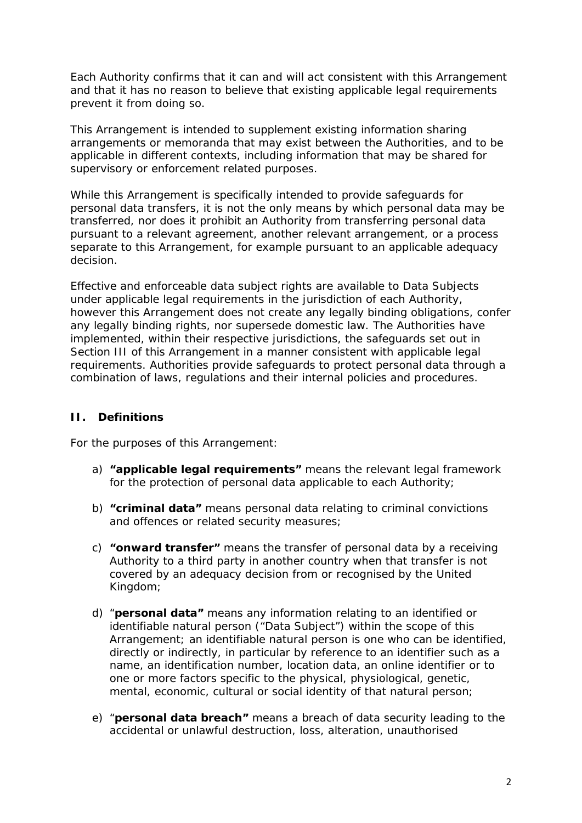Each Authority confirms that it can and will act consistent with this Arrangement and that it has no reason to believe that existing applicable legal requirements prevent it from doing so.

This Arrangement is intended to supplement existing information sharing arrangements or memoranda that may exist between the Authorities, and to be applicable in different contexts, including information that may be shared for supervisory or enforcement related purposes.

While this Arrangement is specifically intended to provide safeguards for personal data transfers, it is not the only means by which personal data may be transferred, nor does it prohibit an Authority from transferring personal data pursuant to a relevant agreement, another relevant arrangement, or a process separate to this Arrangement, for example pursuant to an applicable adequacy decision.

Effective and enforceable data subject rights are available to Data Subjects under applicable legal requirements in the jurisdiction of each Authority, however this Arrangement does not create any legally binding obligations, confer any legally binding rights, nor supersede domestic law. The Authorities have implemented, within their respective jurisdictions, the safeguards set out in Section III of this Arrangement in a manner consistent with applicable legal requirements. Authorities provide safeguards to protect personal data through a combination of laws, regulations and their internal policies and procedures.

## **II. Definitions**

For the purposes of this Arrangement:

- a) **"applicable legal requirements"** means the relevant legal framework for the protection of personal data applicable to each Authority;
- b) **"criminal data"** means personal data relating to criminal convictions and offences or related security measures;
- c) **"onward transfer"** means the transfer of personal data by a receiving Authority to a third party in another country when that transfer is not covered by an adequacy decision from or recognised by the United Kingdom;
- d) "**personal data"** means any information relating to an identified or identifiable natural person ("Data Subject") within the scope of this Arrangement; an identifiable natural person is one who can be identified, directly or indirectly, in particular by reference to an identifier such as a name, an identification number, location data, an online identifier or to one or more factors specific to the physical, physiological, genetic, mental, economic, cultural or social identity of that natural person;
- e) "**personal data breach"** means a breach of data security leading to the accidental or unlawful destruction, loss, alteration, unauthorised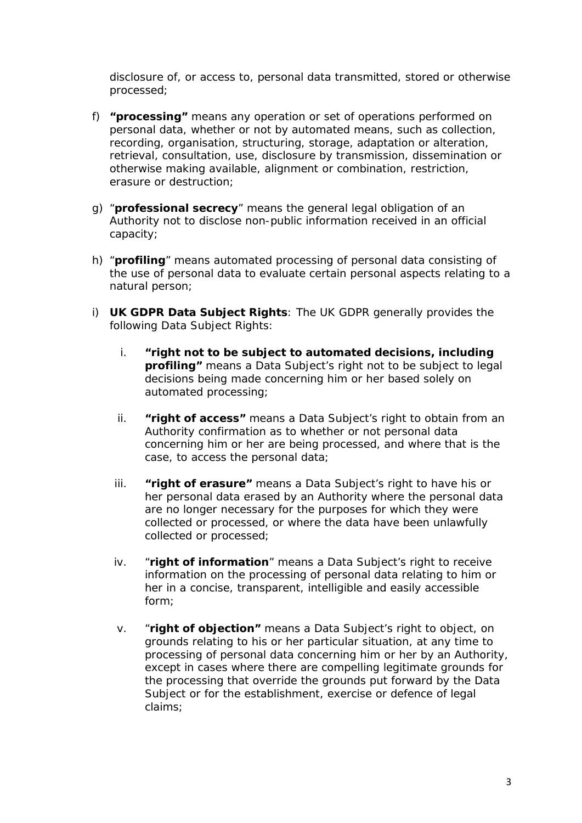disclosure of, or access to, personal data transmitted, stored or otherwise processed;

- f) **"processing"** means any operation or set of operations performed on personal data, whether or not by automated means, such as collection, recording, organisation, structuring, storage, adaptation or alteration, retrieval, consultation, use, disclosure by transmission, dissemination or otherwise making available, alignment or combination, restriction, erasure or destruction;
- g) "**professional secrecy**" means the general legal obligation of an Authority not to disclose non-public information received in an official capacity;
- h) "**profiling**" means automated processing of personal data consisting of the use of personal data to evaluate certain personal aspects relating to a natural person;
- i) **UK GDPR Data Subject Rights**: The UK GDPR generally provides the following Data Subject Rights:
	- i. **"right not to be subject to automated decisions, including profiling"** means a Data Subject's right not to be subject to legal decisions being made concerning him or her based solely on automated processing;
	- ii. **"right of access"** means a Data Subject's right to obtain from an Authority confirmation as to whether or not personal data concerning him or her are being processed, and where that is the case, to access the personal data;
	- iii. **"right of erasure"** means a Data Subject's right to have his or her personal data erased by an Authority where the personal data are no longer necessary for the purposes for which they were collected or processed, or where the data have been unlawfully collected or processed;
	- iv. "**right of information**" means a Data Subject's right to receive information on the processing of personal data relating to him or her in a concise, transparent, intelligible and easily accessible form;
	- v. "**right of objection"** means a Data Subject's right to object, on grounds relating to his or her particular situation, at any time to processing of personal data concerning him or her by an Authority, except in cases where there are compelling legitimate grounds for the processing that override the grounds put forward by the Data Subject or for the establishment, exercise or defence of legal claims;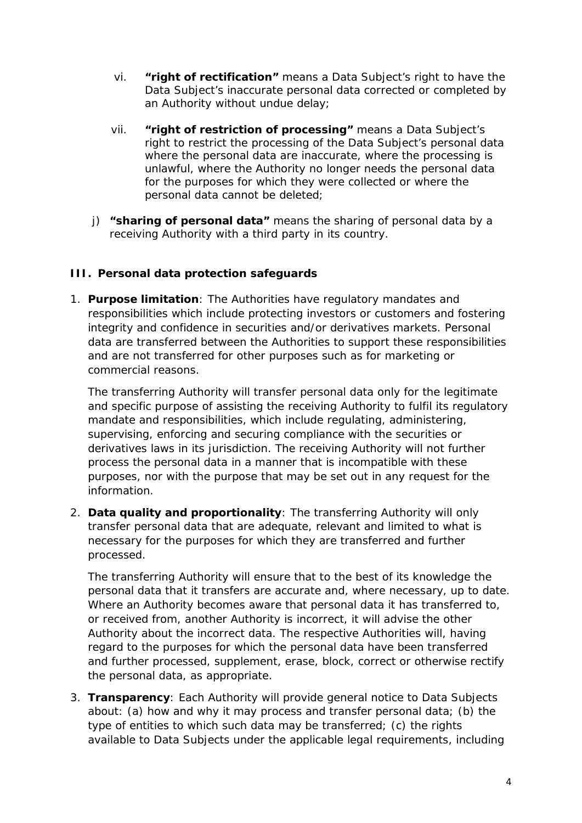- vi. **"right of rectification"** means a Data Subject's right to have the Data Subject's inaccurate personal data corrected or completed by an Authority without undue delay;
- vii. **"right of restriction of processing"** means a Data Subject's right to restrict the processing of the Data Subject's personal data where the personal data are inaccurate, where the processing is unlawful, where the Authority no longer needs the personal data for the purposes for which they were collected or where the personal data cannot be deleted;
- j) **"sharing of personal data"** means the sharing of personal data by a receiving Authority with a third party in its country.

## **III. Personal data protection safeguards**

1. **Purpose limitation**: The Authorities have regulatory mandates and responsibilities which include protecting investors or customers and fostering integrity and confidence in securities and/or derivatives markets. Personal data are transferred between the Authorities to support these responsibilities and are not transferred for other purposes such as for marketing or commercial reasons.

The transferring Authority will transfer personal data only for the legitimate and specific purpose of assisting the receiving Authority to fulfil its regulatory mandate and responsibilities, which include regulating, administering, supervising, enforcing and securing compliance with the securities or derivatives laws in its jurisdiction. The receiving Authority will not further process the personal data in a manner that is incompatible with these purposes, nor with the purpose that may be set out in any request for the information.

2. **Data quality and proportionality**: The transferring Authority will only transfer personal data that are adequate, relevant and limited to what is necessary for the purposes for which they are transferred and further processed.

The transferring Authority will ensure that to the best of its knowledge the personal data that it transfers are accurate and, where necessary, up to date. Where an Authority becomes aware that personal data it has transferred to, or received from, another Authority is incorrect, it will advise the other Authority about the incorrect data. The respective Authorities will, having regard to the purposes for which the personal data have been transferred and further processed, supplement, erase, block, correct or otherwise rectify the personal data, as appropriate.

3. **Transparency**: Each Authority will provide general notice to Data Subjects about: (a) how and why it may process and transfer personal data; (b) the type of entities to which such data may be transferred; (c) the rights available to Data Subjects under the applicable legal requirements, including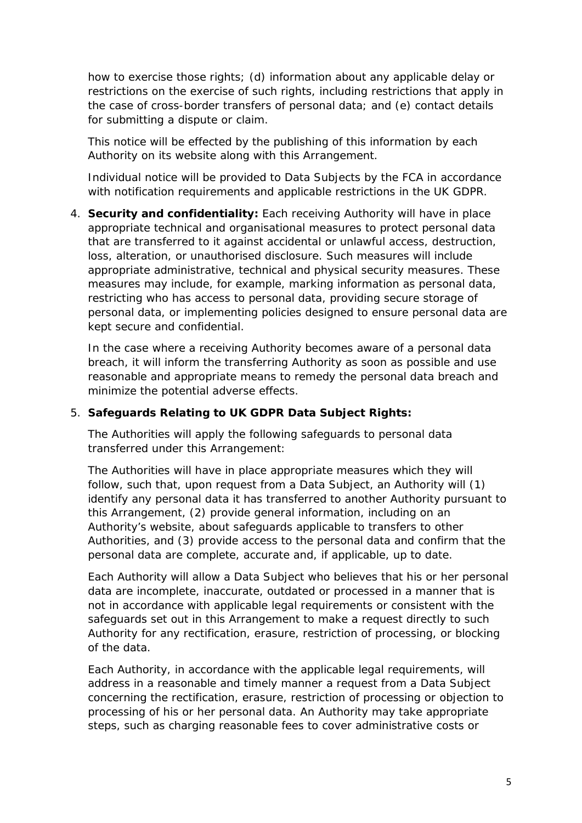how to exercise those rights; (d) information about any applicable delay or restrictions on the exercise of such rights, including restrictions that apply in the case of cross-border transfers of personal data; and (e) contact details for submitting a dispute or claim.

This notice will be effected by the publishing of this information by each Authority on its website along with this Arrangement.

Individual notice will be provided to Data Subjects by the FCA in accordance with notification requirements and applicable restrictions in the UK GDPR.

4. **Security and confidentiality:** Each receiving Authority will have in place appropriate technical and organisational measures to protect personal data that are transferred to it against accidental or unlawful access, destruction, loss, alteration, or unauthorised disclosure. Such measures will include appropriate administrative, technical and physical security measures. These measures may include, for example, marking information as personal data, restricting who has access to personal data, providing secure storage of personal data, or implementing policies designed to ensure personal data are kept secure and confidential.

In the case where a receiving Authority becomes aware of a personal data breach, it will inform the transferring Authority as soon as possible and use reasonable and appropriate means to remedy the personal data breach and minimize the potential adverse effects.

#### 5. **Safeguards Relating to UK GDPR Data Subject Rights:**

The Authorities will apply the following safeguards to personal data transferred under this Arrangement:

The Authorities will have in place appropriate measures which they will follow, such that, upon request from a Data Subject, an Authority will (1) identify any personal data it has transferred to another Authority pursuant to this Arrangement, (2) provide general information, including on an Authority's website, about safeguards applicable to transfers to other Authorities, and (3) provide access to the personal data and confirm that the personal data are complete, accurate and, if applicable, up to date.

Each Authority will allow a Data Subject who believes that his or her personal data are incomplete, inaccurate, outdated or processed in a manner that is not in accordance with applicable legal requirements or consistent with the safeguards set out in this Arrangement to make a request directly to such Authority for any rectification, erasure, restriction of processing, or blocking of the data.

Each Authority, in accordance with the applicable legal requirements, will address in a reasonable and timely manner a request from a Data Subject concerning the rectification, erasure, restriction of processing or objection to processing of his or her personal data. An Authority may take appropriate steps, such as charging reasonable fees to cover administrative costs or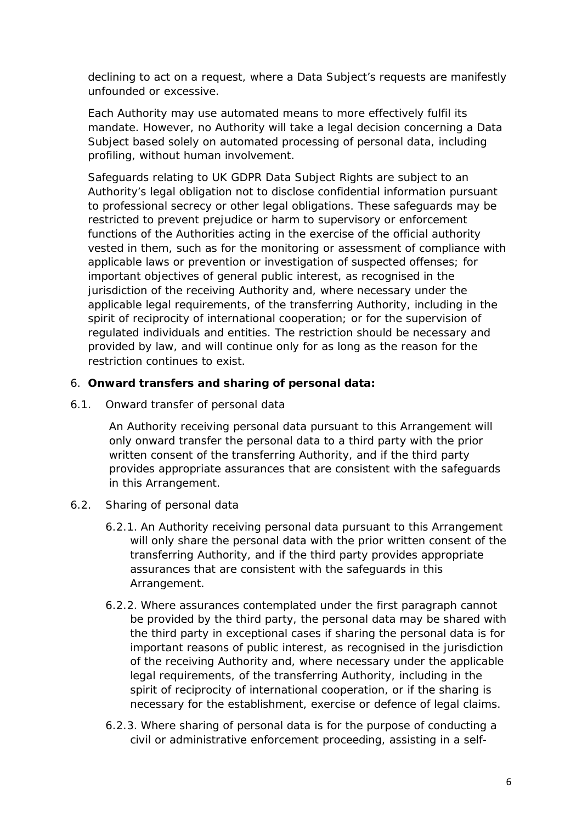declining to act on a request, where a Data Subject's requests are manifestly unfounded or excessive.

Each Authority may use automated means to more effectively fulfil its mandate. However, no Authority will take a legal decision concerning a Data Subject based solely on automated processing of personal data, including profiling, without human involvement.

Safeguards relating to UK GDPR Data Subject Rights are subject to an Authority's legal obligation not to disclose confidential information pursuant to professional secrecy or other legal obligations. These safeguards may be restricted to prevent prejudice or harm to supervisory or enforcement functions of the Authorities acting in the exercise of the official authority vested in them, such as for the monitoring or assessment of compliance with applicable laws or prevention or investigation of suspected offenses; for important objectives of general public interest, as recognised in the jurisdiction of the receiving Authority and, where necessary under the applicable legal requirements, of the transferring Authority, including in the spirit of reciprocity of international cooperation; or for the supervision of regulated individuals and entities. The restriction should be necessary and provided by law, and will continue only for as long as the reason for the restriction continues to exist.

## 6. **Onward transfers and sharing of personal data:**

6.1. Onward transfer of personal data

An Authority receiving personal data pursuant to this Arrangement will only onward transfer the personal data to a third party with the prior written consent of the transferring Authority, and if the third party provides appropriate assurances that are consistent with the safeguards in this Arrangement.

- 6.2. Sharing of personal data
	- 6.2.1. An Authority receiving personal data pursuant to this Arrangement will only share the personal data with the prior written consent of the transferring Authority, and if the third party provides appropriate assurances that are consistent with the safeguards in this Arrangement.
	- 6.2.2. Where assurances contemplated under the first paragraph cannot be provided by the third party, the personal data may be shared with the third party in exceptional cases if sharing the personal data is for important reasons of public interest, as recognised in the jurisdiction of the receiving Authority and, where necessary under the applicable legal requirements, of the transferring Authority, including in the spirit of reciprocity of international cooperation, or if the sharing is necessary for the establishment, exercise or defence of legal claims.
	- 6.2.3. Where sharing of personal data is for the purpose of conducting a civil or administrative enforcement proceeding, assisting in a self-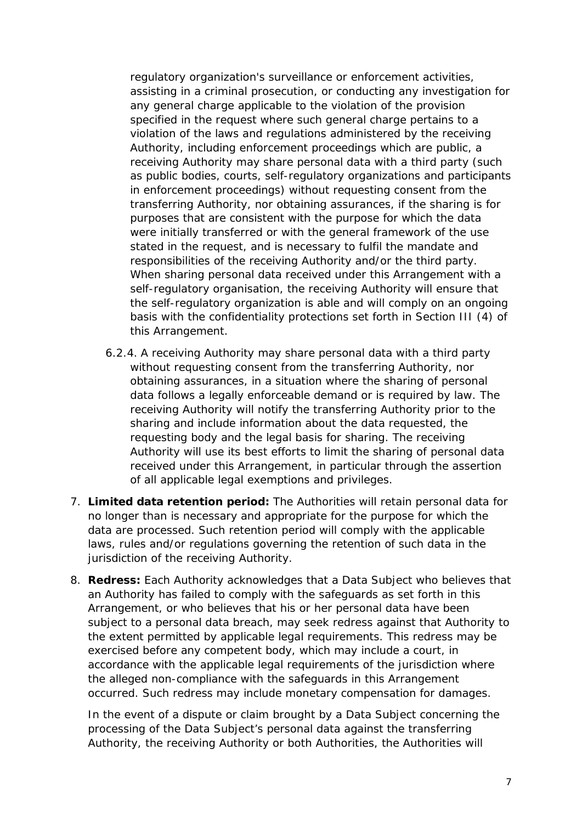regulatory organization's surveillance or enforcement activities, assisting in a criminal prosecution, or conducting any investigation for any general charge applicable to the violation of the provision specified in the request where such general charge pertains to a violation of the laws and regulations administered by the receiving Authority, including enforcement proceedings which are public, a receiving Authority may share personal data with a third party (such as public bodies, courts, self-regulatory organizations and participants in enforcement proceedings) without requesting consent from the transferring Authority, nor obtaining assurances, if the sharing is for purposes that are consistent with the purpose for which the data were initially transferred or with the general framework of the use stated in the request, and is necessary to fulfil the mandate and responsibilities of the receiving Authority and/or the third party. When sharing personal data received under this Arrangement with a self-regulatory organisation, the receiving Authority will ensure that the self-regulatory organization is able and will comply on an ongoing basis with the confidentiality protections set forth in Section III (4) of this Arrangement.

- 6.2.4. A receiving Authority may share personal data with a third party without requesting consent from the transferring Authority, nor obtaining assurances, in a situation where the sharing of personal data follows a legally enforceable demand or is required by law. The receiving Authority will notify the transferring Authority prior to the sharing and include information about the data requested, the requesting body and the legal basis for sharing. The receiving Authority will use its best efforts to limit the sharing of personal data received under this Arrangement, in particular through the assertion of all applicable legal exemptions and privileges.
- 7. **Limited data retention period:** The Authorities will retain personal data for no longer than is necessary and appropriate for the purpose for which the data are processed. Such retention period will comply with the applicable laws, rules and/or regulations governing the retention of such data in the jurisdiction of the receiving Authority.
- 8. **Redress:** Each Authority acknowledges that a Data Subject who believes that an Authority has failed to comply with the safeguards as set forth in this Arrangement, or who believes that his or her personal data have been subject to a personal data breach, may seek redress against that Authority to the extent permitted by applicable legal requirements. This redress may be exercised before any competent body, which may include a court, in accordance with the applicable legal requirements of the jurisdiction where the alleged non-compliance with the safeguards in this Arrangement occurred. Such redress may include monetary compensation for damages.

In the event of a dispute or claim brought by a Data Subject concerning the processing of the Data Subject's personal data against the transferring Authority, the receiving Authority or both Authorities, the Authorities will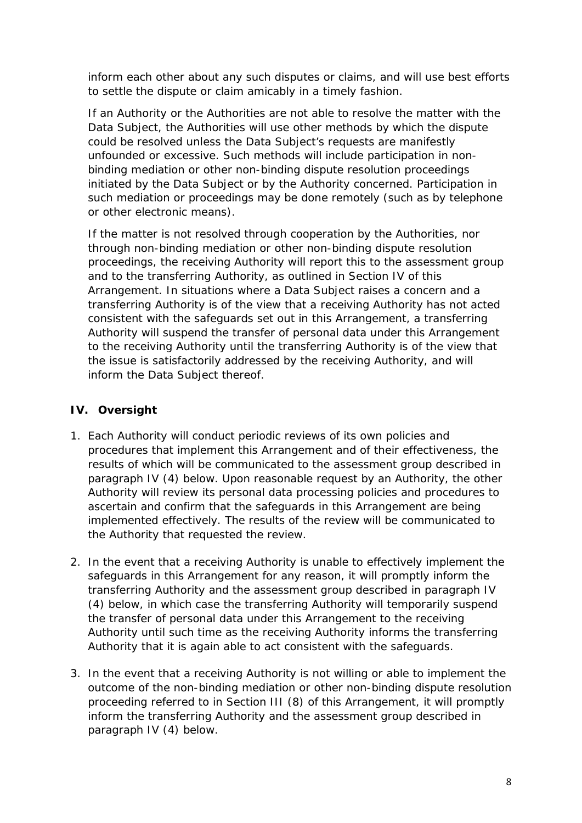inform each other about any such disputes or claims, and will use best efforts to settle the dispute or claim amicably in a timely fashion.

If an Authority or the Authorities are not able to resolve the matter with the Data Subject, the Authorities will use other methods by which the dispute could be resolved unless the Data Subject's requests are manifestly unfounded or excessive. Such methods will include participation in nonbinding mediation or other non-binding dispute resolution proceedings initiated by the Data Subject or by the Authority concerned. Participation in such mediation or proceedings may be done remotely (such as by telephone or other electronic means).

If the matter is not resolved through cooperation by the Authorities, nor through non-binding mediation or other non-binding dispute resolution proceedings, the receiving Authority will report this to the assessment group and to the transferring Authority, as outlined in Section IV of this Arrangement. In situations where a Data Subject raises a concern and a transferring Authority is of the view that a receiving Authority has not acted consistent with the safeguards set out in this Arrangement, a transferring Authority will suspend the transfer of personal data under this Arrangement to the receiving Authority until the transferring Authority is of the view that the issue is satisfactorily addressed by the receiving Authority, and will inform the Data Subject thereof.

# **IV. Oversight**

- 1. Each Authority will conduct periodic reviews of its own policies and procedures that implement this Arrangement and of their effectiveness, the results of which will be communicated to the assessment group described in paragraph IV (4) below. Upon reasonable request by an Authority, the other Authority will review its personal data processing policies and procedures to ascertain and confirm that the safeguards in this Arrangement are being implemented effectively. The results of the review will be communicated to the Authority that requested the review.
- 2. In the event that a receiving Authority is unable to effectively implement the safeguards in this Arrangement for any reason, it will promptly inform the transferring Authority and the assessment group described in paragraph IV (4) below, in which case the transferring Authority will temporarily suspend the transfer of personal data under this Arrangement to the receiving Authority until such time as the receiving Authority informs the transferring Authority that it is again able to act consistent with the safeguards.
- 3. In the event that a receiving Authority is not willing or able to implement the outcome of the non-binding mediation or other non-binding dispute resolution proceeding referred to in Section III (8) of this Arrangement, it will promptly inform the transferring Authority and the assessment group described in paragraph IV (4) below.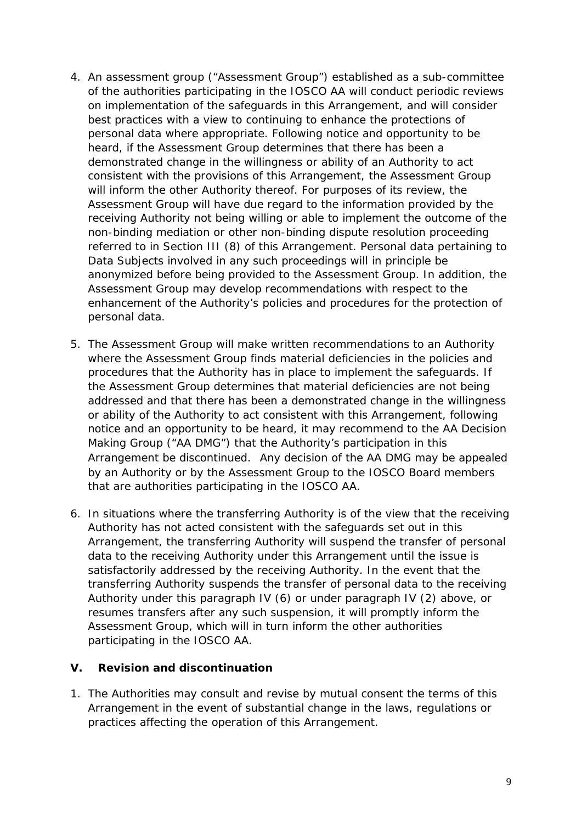- 4. An assessment group ("Assessment Group") established as a sub-committee of the authorities participating in the IOSCO AA will conduct periodic reviews on implementation of the safeguards in this Arrangement, and will consider best practices with a view to continuing to enhance the protections of personal data where appropriate. Following notice and opportunity to be heard, if the Assessment Group determines that there has been a demonstrated change in the willingness or ability of an Authority to act consistent with the provisions of this Arrangement, the Assessment Group will inform the other Authority thereof. For purposes of its review, the Assessment Group will have due regard to the information provided by the receiving Authority not being willing or able to implement the outcome of the non-binding mediation or other non-binding dispute resolution proceeding referred to in Section III (8) of this Arrangement. Personal data pertaining to Data Subjects involved in any such proceedings will in principle be anonymized before being provided to the Assessment Group. In addition, the Assessment Group may develop recommendations with respect to the enhancement of the Authority's policies and procedures for the protection of personal data.
- 5. The Assessment Group will make written recommendations to an Authority where the Assessment Group finds material deficiencies in the policies and procedures that the Authority has in place to implement the safeguards. If the Assessment Group determines that material deficiencies are not being addressed and that there has been a demonstrated change in the willingness or ability of the Authority to act consistent with this Arrangement, following notice and an opportunity to be heard, it may recommend to the AA Decision Making Group ("AA DMG") that the Authority's participation in this Arrangement be discontinued. Any decision of the AA DMG may be appealed by an Authority or by the Assessment Group to the IOSCO Board members that are authorities participating in the IOSCO AA.
- 6. In situations where the transferring Authority is of the view that the receiving Authority has not acted consistent with the safeguards set out in this Arrangement, the transferring Authority will suspend the transfer of personal data to the receiving Authority under this Arrangement until the issue is satisfactorily addressed by the receiving Authority. In the event that the transferring Authority suspends the transfer of personal data to the receiving Authority under this paragraph IV (6) or under paragraph IV (2) above, or resumes transfers after any such suspension, it will promptly inform the Assessment Group, which will in turn inform the other authorities participating in the IOSCO AA.

## **V. Revision and discontinuation**

1. The Authorities may consult and revise by mutual consent the terms of this Arrangement in the event of substantial change in the laws, regulations or practices affecting the operation of this Arrangement.